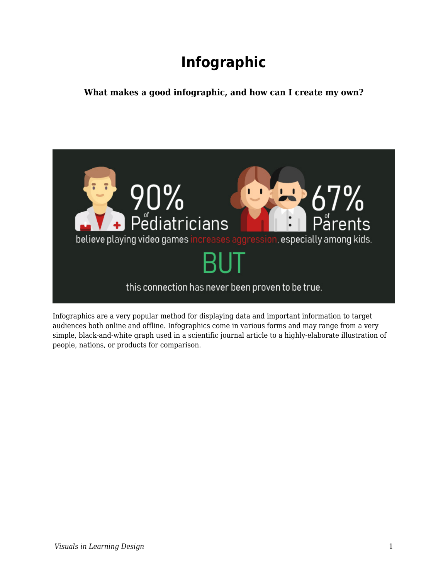# **Infographic**

**What makes a good infographic, and how can I create my own?**



Infographics are a very popular method for displaying data and important information to target audiences both online and offline. Infographics come in various forms and may range from a very simple, black-and-white graph used in a scientific journal article to a highly-elaborate illustration of people, nations, or products for comparison.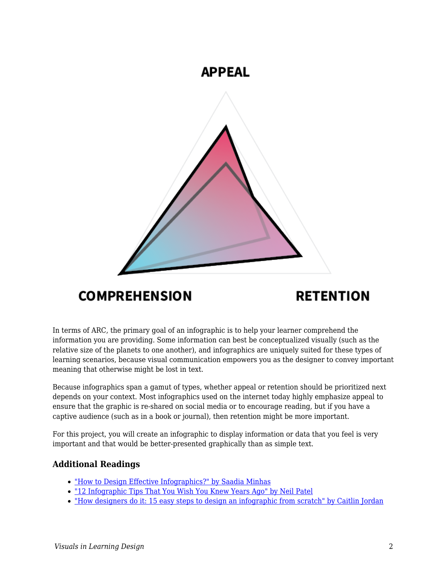

# **COMPREHENSION**

# **RETENTION**

In terms of ARC, the primary goal of an infographic is to help your learner comprehend the information you are providing. Some information can best be conceptualized visually (such as the relative size of the planets to one another), and infographics are uniquely suited for these types of learning scenarios, because visual communication empowers you as the designer to convey important meaning that otherwise might be lost in text.

Because infographics span a gamut of types, whether appeal or retention should be prioritized next depends on your context. Most infographics used on the internet today highly emphasize appeal to ensure that the graphic is re-shared on social media or to encourage reading, but if you have a captive audience (such as in a book or journal), then retention might be more important.

For this project, you will create an infographic to display information or data that you feel is very important and that would be better-presented graphically than as simple text.

#### **Additional Readings**

- ["How to Design Effective Infographics?" by Saadia Minhas](https://uxplanet.org/infographic-design-26dad026bbdd)
- ["12 Infographic Tips That You Wish You Knew Years Ago" by Neil Patel](https://neilpatel.com/blog/12-infographic-tips/)
- ["How designers do it: 15 easy steps to design an infographic from scratch" by Caitlin Jordan](https://www.canva.com/learn/create-infographics/)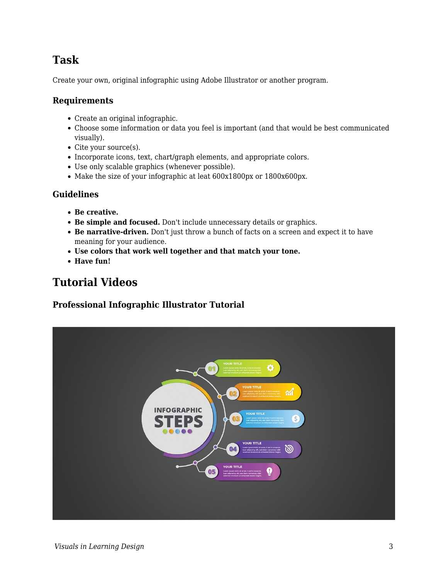### **Task**

Create your own, original infographic using Adobe Illustrator or another program.

#### **Requirements**

- Create an original infographic.
- Choose some information or data you feel is important (and that would be best communicated visually).
- Cite your source(s).
- Incorporate icons, text, chart/graph elements, and appropriate colors.
- Use only scalable graphics (whenever possible).
- Make the size of your infographic at leat 600x1800px or 1800x600px.

#### **Guidelines**

- **Be creative.**
- **Be simple and focused.** Don't include unnecessary details or graphics.
- **Be narrative-driven.** Don't just throw a bunch of facts on a screen and expect it to have meaning for your audience.
- **Use colors that work well together and that match your tone.**
- **Have fun!**

### **Tutorial Videos**

#### **Professional Infographic Illustrator Tutorial**

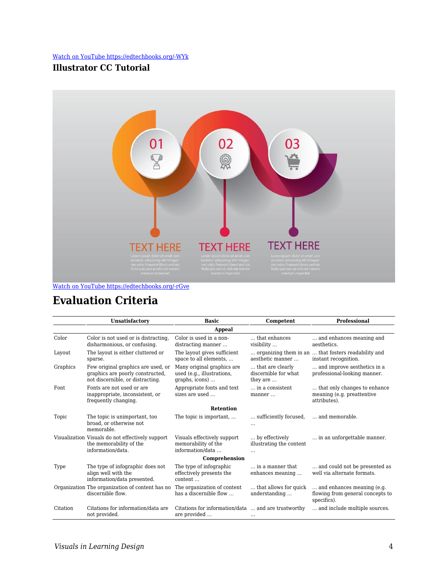#### [Watch on YouTube https://edtechbooks.org/-WYk](https://www.youtube.com/embed/ha_eV8581v8?autoplay=1&rel=0&showinfo=0&modestbranding=1)

#### **Illustrator CC Tutorial**



[Watch on YouTube https://edtechbooks.org/-rGve](https://www.youtube.com/embed/NgByDWnTkps?autoplay=1&rel=0&showinfo=0&modestbranding=1)

### **Evaluation Criteria**

|                  | Unsatisfactory                                                                                             | <b>Basic</b>                                                               | Competent                                                     | <b>Professional</b>                                                           |
|------------------|------------------------------------------------------------------------------------------------------------|----------------------------------------------------------------------------|---------------------------------------------------------------|-------------------------------------------------------------------------------|
| <b>Appeal</b>    |                                                                                                            |                                                                            |                                                               |                                                                               |
| Color            | Color is not used or is distracting,<br>disharmonious, or confusing.                                       | Color is used in a non-<br>distracting manner                              | that enhances<br>visibility                                   | and enhances meaning and<br>aesthetics.                                       |
| Layout           | The layout is either cluttered or<br>sparse.                                                               | The layout gives sufficient<br>space to all elements,                      | aesthetic manner                                              | organizing them in an  that fosters readability and<br>instant recognition.   |
| Graphics         | Few original graphics are used, or<br>graphics are poorly constructed,<br>not discernible, or distracting. | Many original graphics are<br>used (e.g., illustrations,<br>graphs, icons) | that are clearly<br>discernible for what<br>they are          | and improve aesthetics in a<br>professional-looking manner.                   |
| Font             | Fonts are not used or are<br>inappropriate, inconsistent, or<br>frequently changing.                       | Appropriate fonts and text<br>sizes are used                               | in a consistent<br>manner                                     | that only changes to enhance<br>meaning (e.g. preattentive<br>attributes).    |
| <b>Retention</b> |                                                                                                            |                                                                            |                                                               |                                                                               |
| Topic            | The topic is unimportant, too<br>broad, or otherwise not<br>memorable.                                     | The topic is important,                                                    | sufficiently focused,                                         | and memorable.                                                                |
|                  | Visualization Visuals do not effectively support<br>the memorability of the<br>information/data.           | Visuals effectively support<br>memorability of the<br>information/data     | by effectively<br>illustrating the content<br>$\cdot$ $\cdot$ | in an unforgettable manner.                                                   |
| Comprehension    |                                                                                                            |                                                                            |                                                               |                                                                               |
| Type             | The type of infographic does not<br>align well with the<br>information/data presented.                     | The type of infographic<br>effectively presents the<br>content             | in a manner that<br>enhances meaning                          | and could not be presented as<br>well via alternate formats.                  |
|                  | Organization The organization of content has no<br>discernible flow.                                       | The organization of content<br>has a discernible flow                      | that allows for quick<br>understanding                        | and enhances meaning (e.g.<br>flowing from general concepts to<br>specifics). |
| Citation         | Citations for information/data are<br>not provided.                                                        | Citations for information/data  and are trustworthy<br>are provided        | $\cdots$                                                      | and include multiple sources.                                                 |